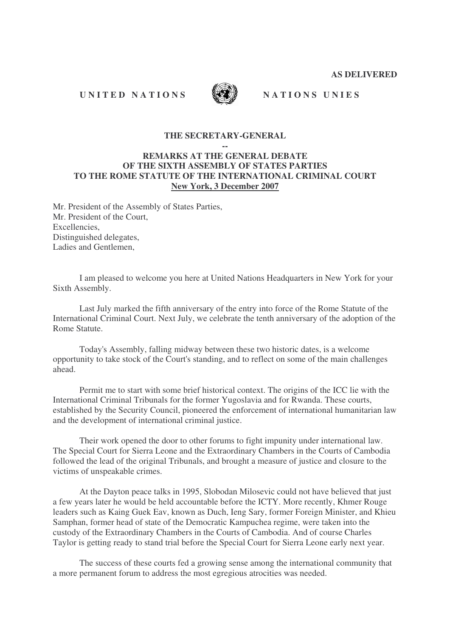**AS DELIVERED**

## UNITED NATIONS WILL NATIONS DIES



### **THE SECRETARY-GENERAL**

#### **--**

# **REMARKS AT THE GENERAL DEBATE OF THE SIXTH ASSEMBLY OF STATES PARTIES TO THE ROME STATUTE OF THE INTERNATIONAL CRIMINAL COURT New York, 3 December 2007**

Mr. President of the Assembly of States Parties, Mr. President of the Court, Excellencies, Distinguished delegates, Ladies and Gentlemen.

I am pleased to welcome you here at United Nations Headquarters in New York for your Sixth Assembly.

Last July marked the fifth anniversary of the entry into force of the Rome Statute of the International Criminal Court. Next July, we celebrate the tenth anniversary of the adoption of the Rome Statute.

Today's Assembly, falling midway between these two historic dates, is a welcome opportunity to take stock of the Court's standing, and to reflect on some of the main challenges ahead.

Permit me to start with some brief historical context. The origins of the ICC lie with the International Criminal Tribunals for the former Yugoslavia and for Rwanda. These courts, established by the Security Council, pioneered the enforcement of international humanitarian law and the development of international criminal justice.

Their work opened the door to other forums to fight impunity under international law. The Special Court for Sierra Leone and the Extraordinary Chambers in the Courts of Cambodia followed the lead of the original Tribunals, and brought a measure of justice and closure to the victims of unspeakable crimes.

At the Dayton peace talks in 1995, Slobodan Milosevic could not have believed that just a few years later he would be held accountable before the ICTY. More recently, Khmer Rouge leaders such as Kaing Guek Eav, known as Duch, Ieng Sary, former Foreign Minister, and Khieu Samphan, former head of state of the Democratic Kampuchea regime, were taken into the custody of the Extraordinary Chambers in the Courts of Cambodia. And of course Charles Taylor is getting ready to stand trial before the Special Court for Sierra Leone early next year.

The success of these courts fed a growing sense among the international community that a more permanent forum to address the most egregious atrocities was needed.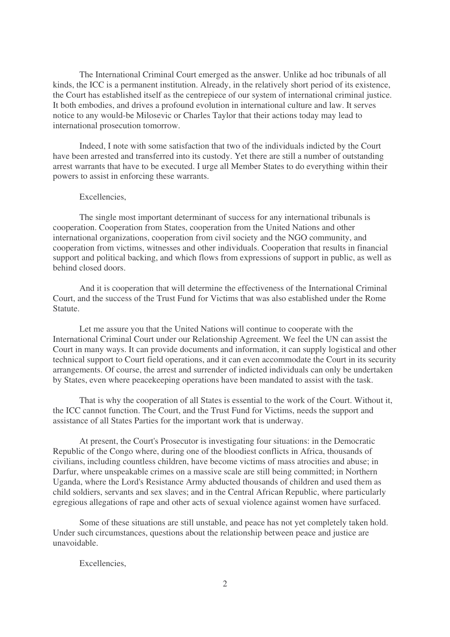The International Criminal Court emerged as the answer. Unlike ad hoc tribunals of all kinds, the ICC is a permanent institution. Already, in the relatively short period of its existence, the Court has established itself as the centrepiece of our system of international criminal justice. It both embodies, and drives a profound evolution in international culture and law. It serves notice to any would-be Milosevic or Charles Taylor that their actions today may lead to international prosecution tomorrow.

Indeed, I note with some satisfaction that two of the individuals indicted by the Court have been arrested and transferred into its custody. Yet there are still a number of outstanding arrest warrants that have to be executed. I urge all Member States to do everything within their powers to assist in enforcing these warrants.

#### Excellencies,

The single most important determinant of success for any international tribunals is cooperation. Cooperation from States, cooperation from the United Nations and other international organizations, cooperation from civil society and the NGO community, and cooperation from victims, witnesses and other individuals. Cooperation that results in financial support and political backing, and which flows from expressions of support in public, as well as behind closed doors.

And it is cooperation that will determine the effectiveness of the International Criminal Court, and the success of the Trust Fund for Victims that was also established under the Rome Statute.

Let me assure you that the United Nations will continue to cooperate with the International Criminal Court under our Relationship Agreement. We feel the UN can assist the Court in many ways. It can provide documents and information, it can supply logistical and other technical support to Court field operations, and it can even accommodate the Court in its security arrangements. Of course, the arrest and surrender of indicted individuals can only be undertaken by States, even where peacekeeping operations have been mandated to assist with the task.

That is why the cooperation of all States is essential to the work of the Court. Without it, the ICC cannot function. The Court, and the Trust Fund for Victims, needs the support and assistance of all States Parties for the important work that is underway.

At present, the Court's Prosecutor is investigating four situations: in the Democratic Republic of the Congo where, during one of the bloodiest conflicts in Africa, thousands of civilians, including countless children, have become victims of mass atrocities and abuse; in Darfur, where unspeakable crimes on a massive scale are still being committed; in Northern Uganda, where the Lord's Resistance Army abducted thousands of children and used them as child soldiers, servants and sex slaves; and in the Central African Republic, where particularly egregious allegations of rape and other acts of sexual violence against women have surfaced.

Some of these situations are still unstable, and peace has not yet completely taken hold. Under such circumstances, questions about the relationship between peace and justice are unavoidable.

Excellencies,